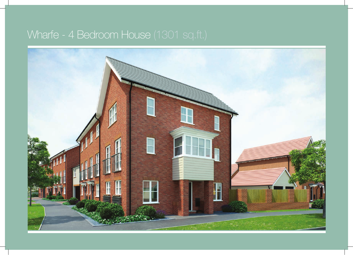## Wharfe - 4 Bedroom House (1301 sq.ft.)